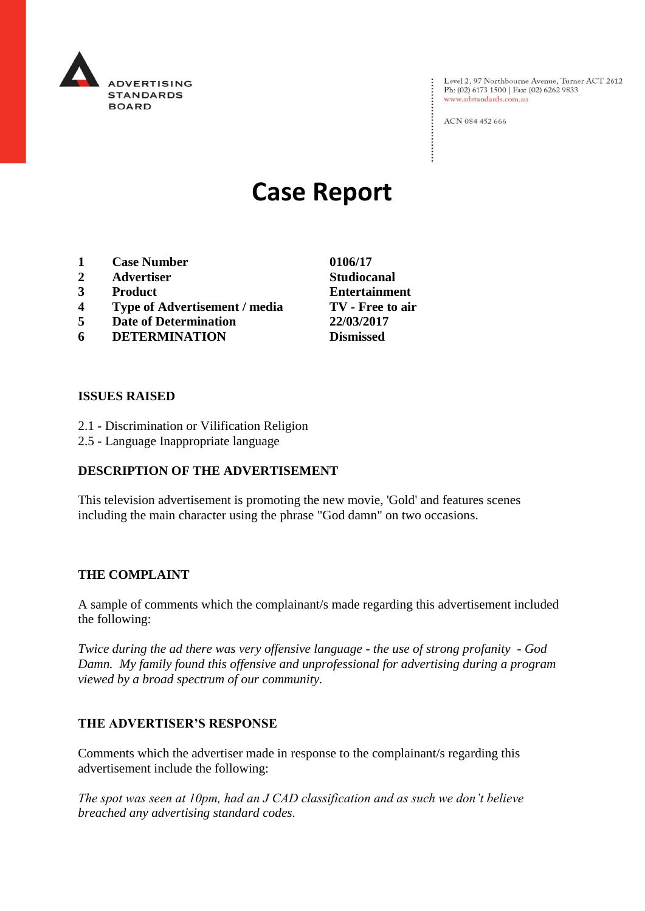

Level 2, 97 Northbourne Avenue, Turner ACT 2612<br>Ph: (02) 6173 1500 | Fax: (02) 6262 9833 www.adstandards.com.au

ACN 084 452 666

# **Case Report**

- **1 Case Number 0106/17**
- **2 Advertiser Studiocanal**
- 
- **4 Type of Advertisement / media TV - Free to air**
- **5 Date of Determination 22/03/2017**
- **6 DETERMINATION Dismissed**

**ISSUES RAISED**

- 2.1 Discrimination or Vilification Religion
- 2.5 Language Inappropriate language

# **DESCRIPTION OF THE ADVERTISEMENT**

This television advertisement is promoting the new movie, 'Gold' and features scenes including the main character using the phrase "God damn" on two occasions.

#### **THE COMPLAINT**

A sample of comments which the complainant/s made regarding this advertisement included the following:

*Twice during the ad there was very offensive language - the use of strong profanity - God Damn. My family found this offensive and unprofessional for advertising during a program viewed by a broad spectrum of our community.*

## **THE ADVERTISER'S RESPONSE**

Comments which the advertiser made in response to the complainant/s regarding this advertisement include the following:

*The spot was seen at 10pm, had an J CAD classification and as such we don't believe breached any advertising standard codes.*

**3 Product Entertainment**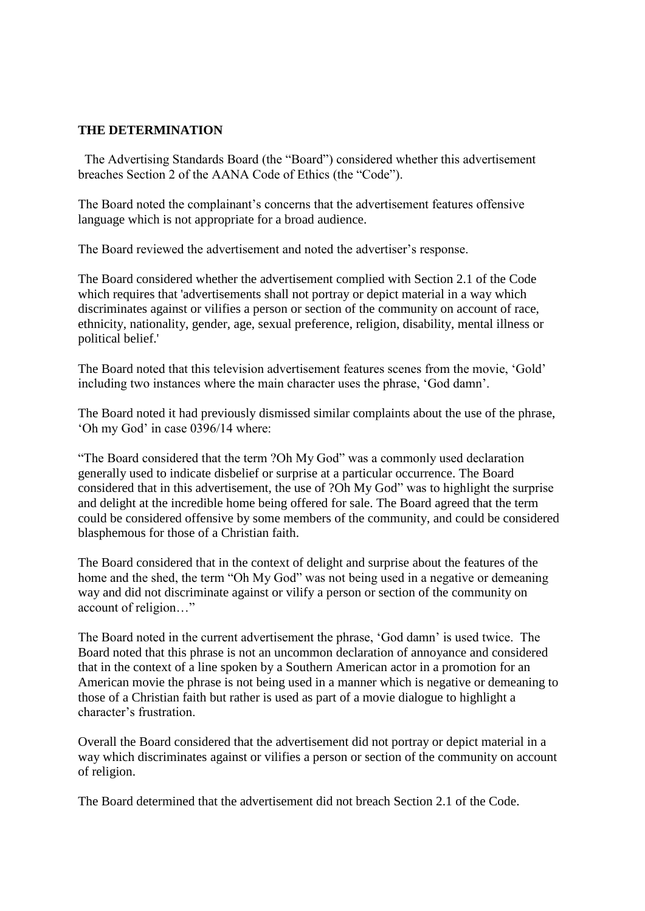### **THE DETERMINATION**

 The Advertising Standards Board (the "Board") considered whether this advertisement breaches Section 2 of the AANA Code of Ethics (the "Code").

The Board noted the complainant's concerns that the advertisement features offensive language which is not appropriate for a broad audience.

The Board reviewed the advertisement and noted the advertiser's response.

The Board considered whether the advertisement complied with Section 2.1 of the Code which requires that 'advertisements shall not portray or depict material in a way which discriminates against or vilifies a person or section of the community on account of race, ethnicity, nationality, gender, age, sexual preference, religion, disability, mental illness or political belief.'

The Board noted that this television advertisement features scenes from the movie, 'Gold' including two instances where the main character uses the phrase, 'God damn'.

The Board noted it had previously dismissed similar complaints about the use of the phrase, 'Oh my God' in case 0396/14 where:

"The Board considered that the term ?Oh My God" was a commonly used declaration generally used to indicate disbelief or surprise at a particular occurrence. The Board considered that in this advertisement, the use of ?Oh My God" was to highlight the surprise and delight at the incredible home being offered for sale. The Board agreed that the term could be considered offensive by some members of the community, and could be considered blasphemous for those of a Christian faith.

The Board considered that in the context of delight and surprise about the features of the home and the shed, the term "Oh My God" was not being used in a negative or demeaning way and did not discriminate against or vilify a person or section of the community on account of religion…"

The Board noted in the current advertisement the phrase, 'God damn' is used twice. The Board noted that this phrase is not an uncommon declaration of annoyance and considered that in the context of a line spoken by a Southern American actor in a promotion for an American movie the phrase is not being used in a manner which is negative or demeaning to those of a Christian faith but rather is used as part of a movie dialogue to highlight a character's frustration.

Overall the Board considered that the advertisement did not portray or depict material in a way which discriminates against or vilifies a person or section of the community on account of religion.

The Board determined that the advertisement did not breach Section 2.1 of the Code.